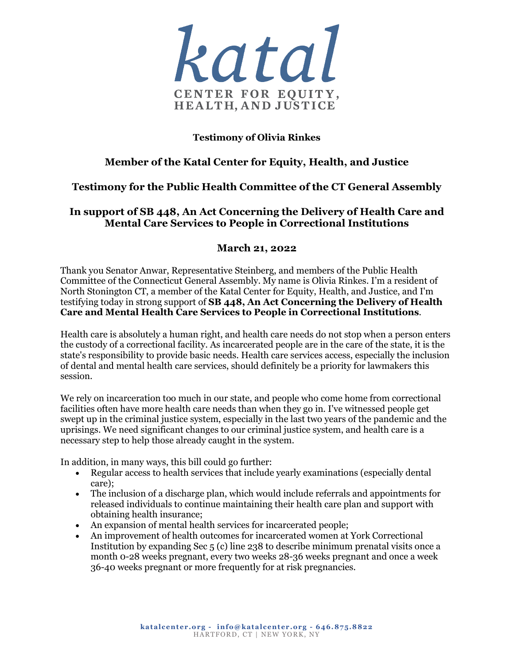

#### **Testimony of Olivia Rinkes**

# **Member of the Katal Center for Equity, Health, and Justice**

## **Testimony for the Public Health Committee of the CT General Assembly**

## **In support of SB 448, An Act Concerning the Delivery of Health Care and Mental Care Services to People in Correctional Institutions**

#### **March 21, 2022**

Thank you Senator Anwar, Representative Steinberg, and members of the Public Health Committee of the Connecticut General Assembly. My name is Olivia Rinkes. I'm a resident of North Stonington CT, a member of the Katal Center for Equity, Health, and Justice, and I'm testifying today in strong support of **SB 448, An Act Concerning the Delivery of Health Care and Mental Health Care Services to People in Correctional Institutions**.

Health care is absolutely a human right, and health care needs do not stop when a person enters the custody of a correctional facility. As incarcerated people are in the care of the state, it is the state's responsibility to provide basic needs. Health care services access, especially the inclusion of dental and mental health care services, should definitely be a priority for lawmakers this session.

We rely on incarceration too much in our state, and people who come home from correctional facilities often have more health care needs than when they go in. I've witnessed people get swept up in the criminal justice system, especially in the last two years of the pandemic and the uprisings. We need significant changes to our criminal justice system, and health care is a necessary step to help those already caught in the system.

In addition, in many ways, this bill could go further:

- Regular access to health services that include yearly examinations (especially dental care);
- The inclusion of a discharge plan, which would include referrals and appointments for released individuals to continue maintaining their health care plan and support with obtaining health insurance;
- An expansion of mental health services for incarcerated people;
- An improvement of health outcomes for incarcerated women at York Correctional Institution by expanding Sec 5 (c) line 238 to describe minimum prenatal visits once a month 0-28 weeks pregnant, every two weeks 28-36 weeks pregnant and once a week 36-40 weeks pregnant or more frequently for at risk pregnancies.